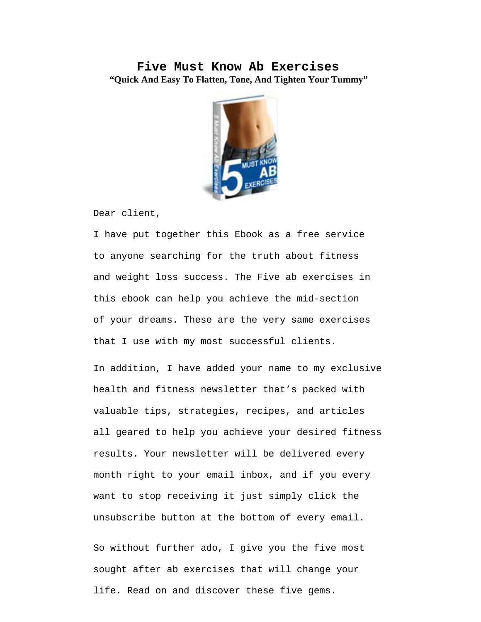## **Five Must Know Ab Exercises "Quick And Easy To Flatten, Tone, And Tighten Your Tummy"**



Dear client,

I have put together this Ebook as a free service to anyone searching for the truth about fitness and weight loss success. The Five ab exercises in this ebook can help you achieve the mid-section of your dreams. These are the very same exercises that I use with my most successful clients.

In addition, I have added your name to my exclusive health and fitness newsletter that's packed with valuable tips, strategies, recipes, and articles all geared to help you achieve your desired fitness results. Your newsletter will be delivered every month right to your email inbox, and if you every want to stop receiving it just simply click the unsubscribe button at the bottom of every email.

So without further ado, I give you the five most sought after ab exercises that will change your life. Read on and discover these five gems.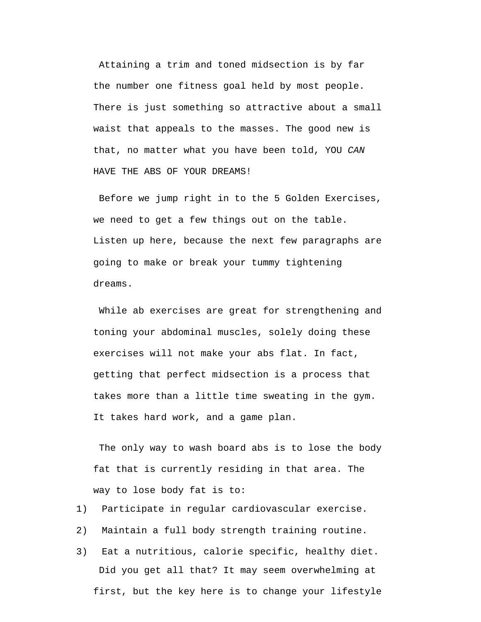Attaining a trim and toned midsection is by far the number one fitness goal held by most people. There is just something so attractive about a small waist that appeals to the masses. The good new is that, no matter what you have been told, YOU *CAN*  HAVE THE ABS OF YOUR DREAMS!

Before we jump right in to the 5 Golden Exercises, we need to get a few things out on the table. Listen up here, because the next few paragraphs are going to make or break your tummy tightening dreams.

While ab exercises are great for strengthening and toning your abdominal muscles, solely doing these exercises will not make your abs flat. In fact, getting that perfect midsection is a process that takes more than a little time sweating in the gym. It takes hard work, and a game plan.

The only way to wash board abs is to lose the body fat that is currently residing in that area. The way to lose body fat is to:

- 1) Participate in regular cardiovascular exercise.
- 2) Maintain a full body strength training routine.
- 3) Eat a nutritious, calorie specific, healthy diet. Did you get all that? It may seem overwhelming at first, but the key here is to change your lifestyle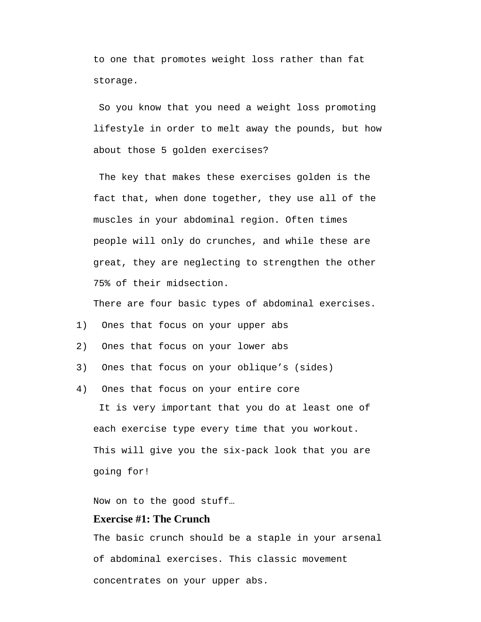to one that promotes weight loss rather than fat storage.

So you know that you need a weight loss promoting lifestyle in order to melt away the pounds, but how about those 5 golden exercises?

The key that makes these exercises golden is the fact that, when done together, they use all of the muscles in your abdominal region. Often times people will only do crunches, and while these are great, they are neglecting to strengthen the other 75% of their midsection.

There are four basic types of abdominal exercises.

- 1) Ones that focus on your upper abs
- 2) Ones that focus on your lower abs
- 3) Ones that focus on your oblique's (sides)
- 4) Ones that focus on your entire core It is very important that you do at least one of each exercise type every time that you workout. This will give you the six-pack look that you are going for!

Now on to the good stuff…

#### **Exercise #1: The Crunch**

The basic crunch should be a staple in your arsenal of abdominal exercises. This classic movement concentrates on your upper abs.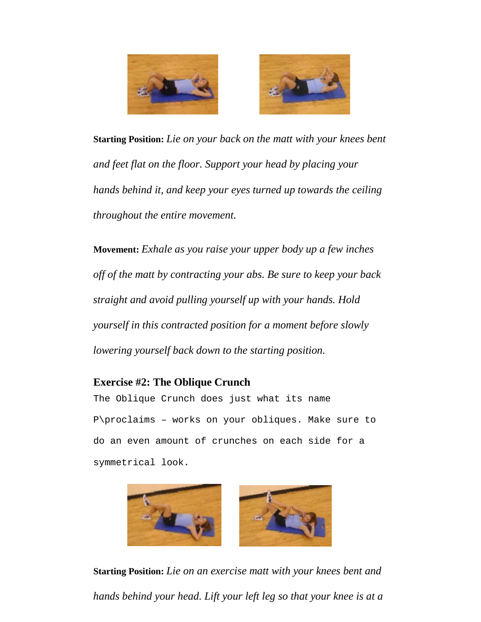



**Starting Position:** *Lie on your back on the matt with your knees bent and feet flat on the floor. Support your head by placing your hands behind it, and keep your eyes turned up towards the ceiling throughout the entire movement.*

**Movement:** *Exhale as you raise your upper body up a few inches off of the matt by contracting your abs. Be sure to keep your back straight and avoid pulling yourself up with your hands. Hold yourself in this contracted position for a moment before slowly lowering yourself back down to the starting position.*

# **Exercise #2: The Oblique Crunch**

The Oblique Crunch does just what its name P\proclaims – works on your obliques. Make sure to do an even amount of crunches on each side for a symmetrical look.



**Starting Position:** *Lie on an exercise matt with your knees bent and hands behind your head. Lift your left leg so that your knee is at a*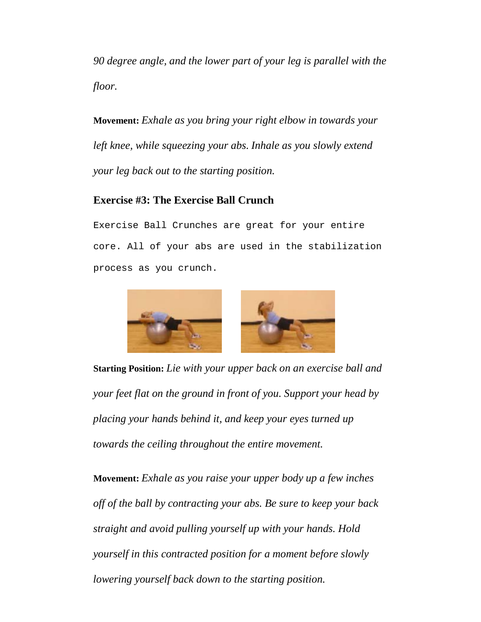*90 degree angle, and the lower part of your leg is parallel with the floor.*

**Movement:** *Exhale as you bring your right elbow in towards your left knee, while squeezing your abs. Inhale as you slowly extend your leg back out to the starting position.*

### **Exercise #3: The Exercise Ball Crunch**

Exercise Ball Crunches are great for your entire core. All of your abs are used in the stabilization process as you crunch.



**Starting Position:** *Lie with your upper back on an exercise ball and your feet flat on the ground in front of you. Support your head by placing your hands behind it, and keep your eyes turned up towards the ceiling throughout the entire movement.*

**Movement:** *Exhale as you raise your upper body up a few inches off of the ball by contracting your abs. Be sure to keep your back straight and avoid pulling yourself up with your hands. Hold yourself in this contracted position for a moment before slowly lowering yourself back down to the starting position.*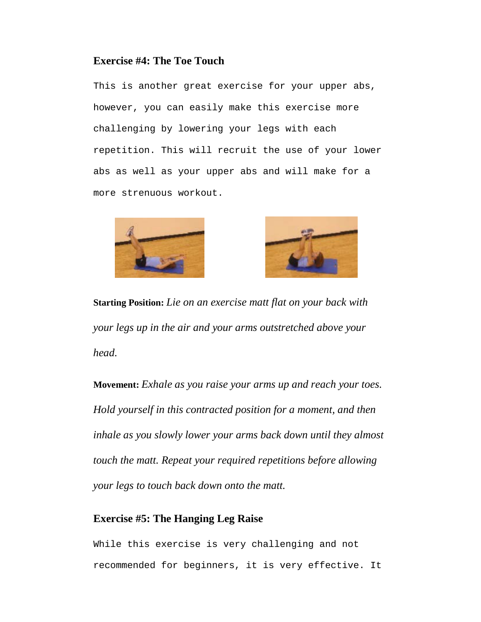#### **Exercise #4: The Toe Touch**

This is another great exercise for your upper abs, however, you can easily make this exercise more challenging by lowering your legs with each repetition. This will recruit the use of your lower abs as well as your upper abs and will make for a more strenuous workout.





**Starting Position:** *Lie on an exercise matt flat on your back with your legs up in the air and your arms outstretched above your head.*

**Movement:** *Exhale as you raise your arms up and reach your toes. Hold yourself in this contracted position for a moment, and then inhale as you slowly lower your arms back down until they almost touch the matt. Repeat your required repetitions before allowing your legs to touch back down onto the matt.*

### **Exercise #5: The Hanging Leg Raise**

While this exercise is very challenging and not recommended for beginners, it is very effective. It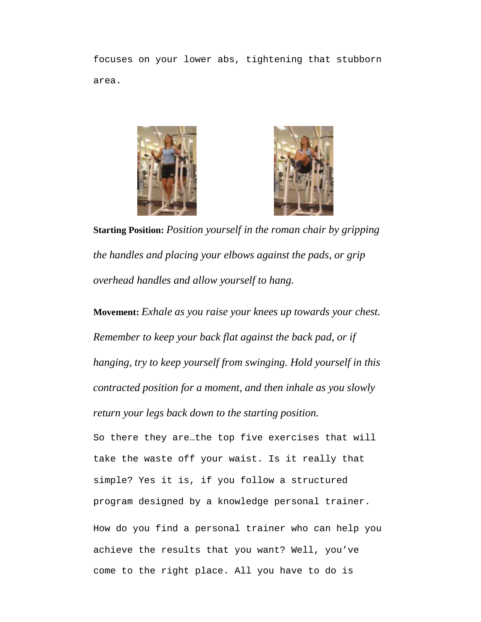focuses on your lower abs, tightening that stubborn area.





**Starting Position:** *Position yourself in the roman chair by gripping the handles and placing your elbows against the pads, or grip overhead handles and allow yourself to hang.*

**Movement:** *Exhale as you raise your knees up towards your chest. Remember to keep your back flat against the back pad, or if hanging, try to keep yourself from swinging. Hold yourself in this contracted position for a moment, and then inhale as you slowly return your legs back down to the starting position.*

So there they are…the top five exercises that will take the waste off your waist. Is it really that simple? Yes it is, if you follow a structured program designed by a knowledge personal trainer. How do you find a personal trainer who can help you achieve the results that you want? Well, you've come to the right place. All you have to do is